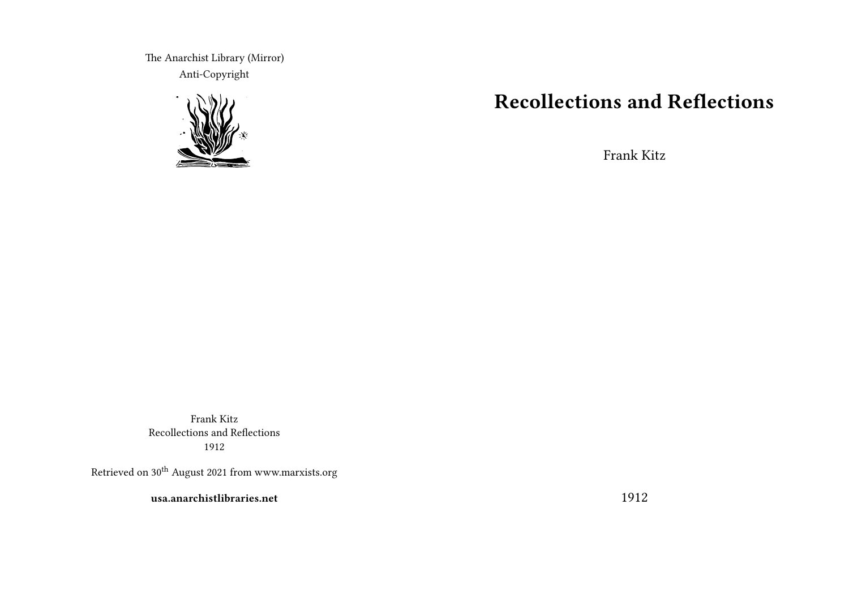The Anarchist Library (Mirror) Anti-Copyright



# **Recollections and Reflections**

Frank Kitz

Frank Kitz Recollections and Reflections 1912

Retrieved on  $30^{\rm th}$  August 2021 from www.marxists.org

**usa.anarchistlibraries.net**

1912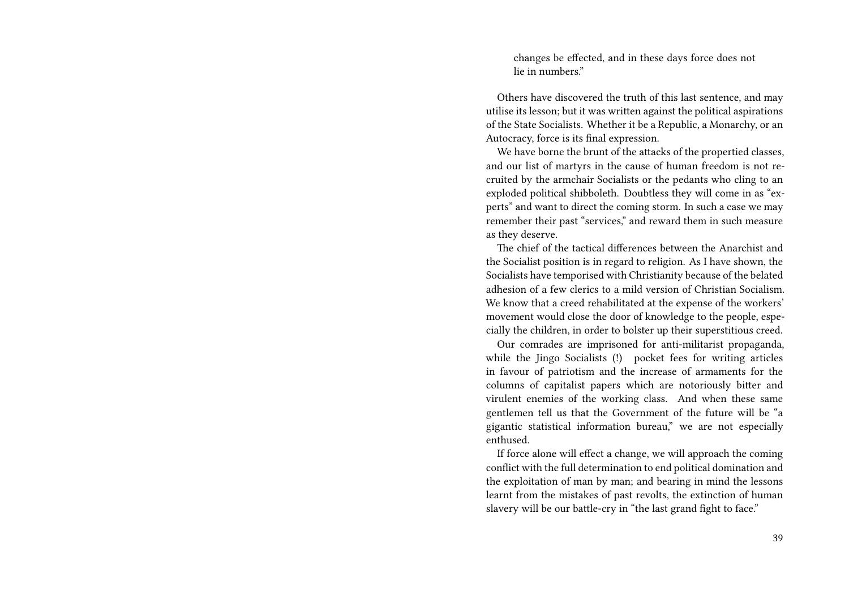changes be effected, and in these days force does not lie in numbers."

Others have discovered the truth of this last sentence, and may utilise its lesson; but it was written against the political aspirations of the State Socialists. Whether it be a Republic, a Monarchy, or an Autocracy, force is its final expression.

We have borne the brunt of the attacks of the propertied classes, and our list of martyrs in the cause of human freedom is not recruited by the armchair Socialists or the pedants who cling to an exploded political shibboleth. Doubtless they will come in as "experts" and want to direct the coming storm. In such a case we may remember their past "services," and reward them in such measure as they deserve.

The chief of the tactical differences between the Anarchist and the Socialist position is in regard to religion. As I have shown, the Socialists have temporised with Christianity because of the belated adhesion of a few clerics to a mild version of Christian Socialism. We know that a creed rehabilitated at the expense of the workers' movement would close the door of knowledge to the people, especially the children, in order to bolster up their superstitious creed.

Our comrades are imprisoned for anti-militarist propaganda, while the Jingo Socialists (!) pocket fees for writing articles in favour of patriotism and the increase of armaments for the columns of capitalist papers which are notoriously bitter and virulent enemies of the working class. And when these same gentlemen tell us that the Government of the future will be "a gigantic statistical information bureau," we are not especially enthused.

If force alone will effect a change, we will approach the coming conflict with the full determination to end political domination and the exploitation of man by man; and bearing in mind the lessons learnt from the mistakes of past revolts, the extinction of human slavery will be our battle-cry in "the last grand fight to face."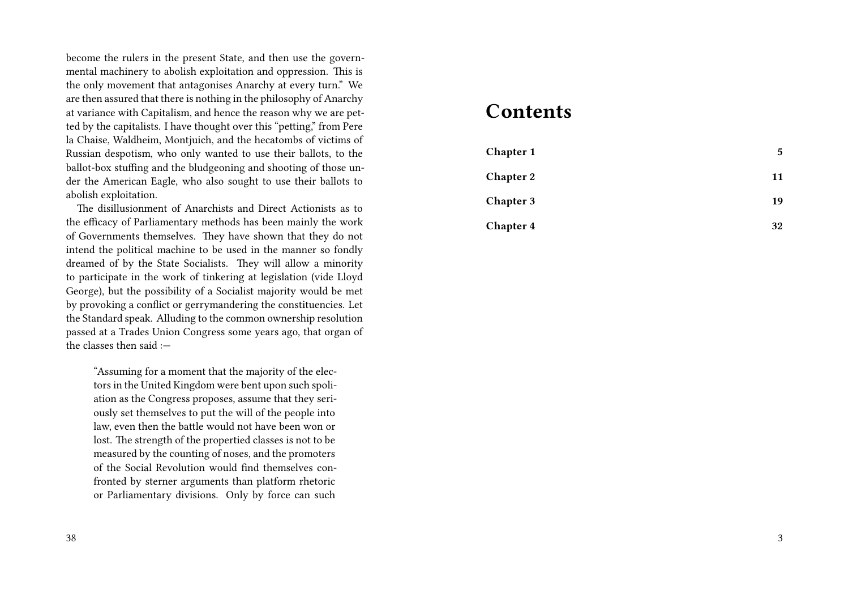become the rulers in the present State, and then use the governmental machinery to abolish exploitation and oppression. This is the only movement that antagonises Anarchy at every turn." We are then assured that there is nothing in the philosophy of Anarchy at variance with Capitalism, and hence the reason why we are petted by the capitalists. I have thought over this "petting," from Pere la Chaise, Waldheim, Montjuich, and the hecatombs of victims of Russian despotism, who only wanted to use their ballots, to the ballot-box stuffing and the bludgeoning and shooting of those under the American Eagle, who also sought to use their ballots to abolish exploitation.

The disillusionment of Anarchists and Direct Actionists as to the efficacy of Parliamentary methods has been mainly the work of Governments themselves. They have shown that they do not intend the political machine to be used in the manner so fondly dreamed of by the State Socialists. They will allow a minority to participate in the work of tinkering at legislation (vide Lloyd George), but the possibility of a Socialist majority would be met by provoking a conflict or gerrymandering the constituencies. Let the Standard speak. Alluding to the common ownership resolution passed at a Trades Union Congress some years ago, that organ of the classes then said  $\cdot$  -

"Assuming for a moment that the majority of the electors in the United Kingdom were bent upon such spoliation as the Congress proposes, assume that they seriously set themselves to put the will of the people into law, even then the battle would not have been won or lost. The strength of the propertied classes is not to be measured by the counting of noses, and the promoters of the Social Revolution would find themselves confronted by sterner arguments than platform rhetoric or Parliamentary divisions. Only by force can such

# 38

#### **Contents**

| <b>Chapter 1</b> | 5  |
|------------------|----|
| <b>Chapter 2</b> | 11 |
| <b>Chapter 3</b> | 19 |
| <b>Chapter 4</b> | 32 |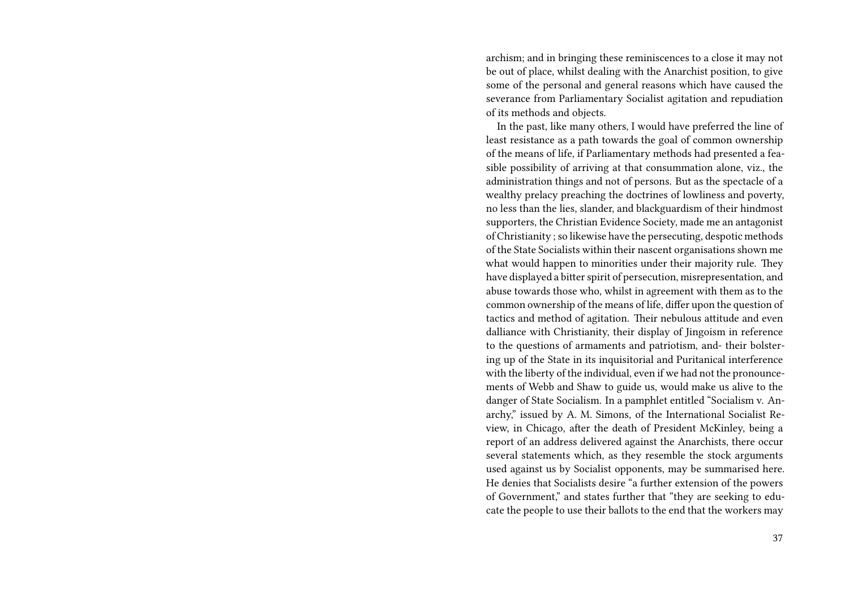archism; and in bringing these reminiscences to a close it may not be out of place, whilst dealing with the Anarchist position, to give some of the personal and general reasons which have caused the severance from Parliamentary Socialist agitation and repudiation of its methods and objects.

In the past, like many others, I would have preferred the line of least resistance as a path towards the goal of common ownership of the means of life, if Parliamentary methods had presented a feasible possibility of arriving at that consummation alone, viz., the administration things and not of persons. But as the spectacle of a wealthy prelacy preaching the doctrines of lowliness and poverty, no less than the lies, slander, and blackguardism of their hindmost supporters, the Christian Evidence Society, made me an antagonist of Christianity ; so likewise have the persecuting, despotic methods of the State Socialists within their nascent organisations shown me what would happen to minorities under their majority rule. They have displayed a bitter spirit of persecution, misrepresentation, and abuse towards those who, whilst in agreement with them as to the common ownership of the means of life, differ upon the question of tactics and method of agitation. Their nebulous attitude and even dalliance with Christianity, their display of Jingoism in reference to the questions of armaments and patriotism, and- their bolstering up of the State in its inquisitorial and Puritanical interference with the liberty of the individual, even if we had not the pronouncements of Webb and Shaw to guide us, would make us alive to the danger of State Socialism. In a pamphlet entitled "Socialism v. Anarchy," issued by A. M. Simons, of the International Socialist Review, in Chicago, after the death of President McKinley, being a report of an address delivered against the Anarchists, there occur several statements which, as they resemble the stock arguments used against us by Socialist opponents, may be summarised here. He denies that Socialists desire "a further extension of the powers of Government," and states further that "they are seeking to educate the people to use their ballots to the end that the workers may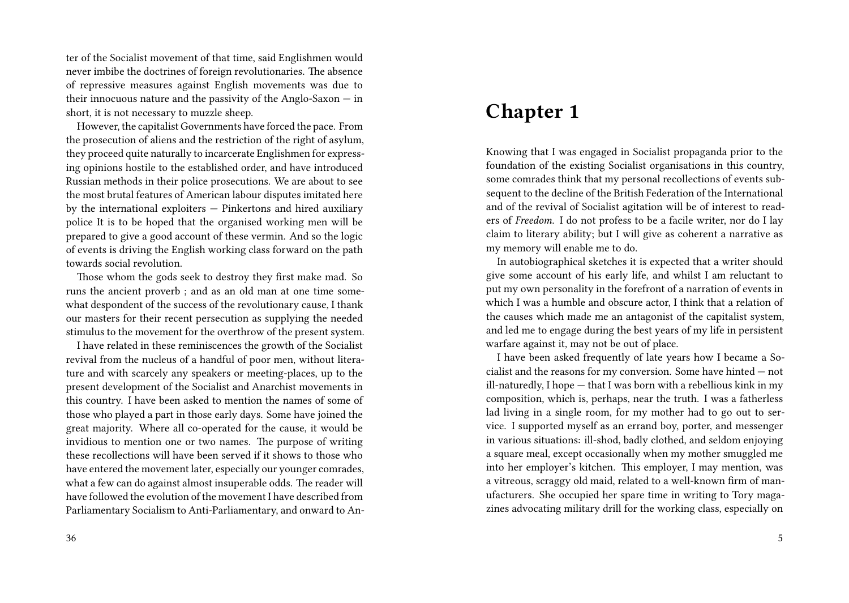ter of the Socialist movement of that time, said Englishmen would never imbibe the doctrines of foreign revolutionaries. The absence of repressive measures against English movements was due to their innocuous nature and the passivity of the Anglo-Saxon — in short, it is not necessary to muzzle sheep.

However, the capitalist Governments have forced the pace. From the prosecution of aliens and the restriction of the right of asylum, they proceed quite naturally to incarcerate Englishmen for expressing opinions hostile to the established order, and have introduced Russian methods in their police prosecutions. We are about to see the most brutal features of American labour disputes imitated here by the international exploiters — Pinkertons and hired auxiliary police It is to be hoped that the organised working men will be prepared to give a good account of these vermin. And so the logic of events is driving the English working class forward on the path towards social revolution.

Those whom the gods seek to destroy they first make mad. So runs the ancient proverb ; and as an old man at one time somewhat despondent of the success of the revolutionary cause, I thank our masters for their recent persecution as supplying the needed stimulus to the movement for the overthrow of the present system.

I have related in these reminiscences the growth of the Socialist revival from the nucleus of a handful of poor men, without literature and with scarcely any speakers or meeting-places, up to the present development of the Socialist and Anarchist movements in this country. I have been asked to mention the names of some of those who played a part in those early days. Some have joined the great majority. Where all co-operated for the cause, it would be invidious to mention one or two names. The purpose of writing these recollections will have been served if it shows to those who have entered the movement later, especially our younger comrades, what a few can do against almost insuperable odds. The reader will have followed the evolution of the movement I have described from Parliamentary Socialism to Anti-Parliamentary, and onward to An-

## **Chapter 1**

Knowing that I was engaged in Socialist propaganda prior to the foundation of the existing Socialist organisations in this country, some comrades think that my personal recollections of events subsequent to the decline of the British Federation of the International and of the revival of Socialist agitation will be of interest to readers of *Freedom*. I do not profess to be a facile writer, nor do I lay claim to literary ability; but I will give as coherent a narrative as my memory will enable me to do.

In autobiographical sketches it is expected that a writer should give some account of his early life, and whilst I am reluctant to put my own personality in the forefront of a narration of events in which I was a humble and obscure actor, I think that a relation of the causes which made me an antagonist of the capitalist system, and led me to engage during the best years of my life in persistent warfare against it, may not be out of place.

I have been asked frequently of late years how I became a Socialist and the reasons for my conversion. Some have hinted — not ill-naturedly, I hope — that I was born with a rebellious kink in my composition, which is, perhaps, near the truth. I was a fatherless lad living in a single room, for my mother had to go out to service. I supported myself as an errand boy, porter, and messenger in various situations: ill-shod, badly clothed, and seldom enjoying a square meal, except occasionally when my mother smuggled me into her employer's kitchen. This employer, I may mention, was a vitreous, scraggy old maid, related to a well-known firm of manufacturers. She occupied her spare time in writing to Tory magazines advocating military drill for the working class, especially on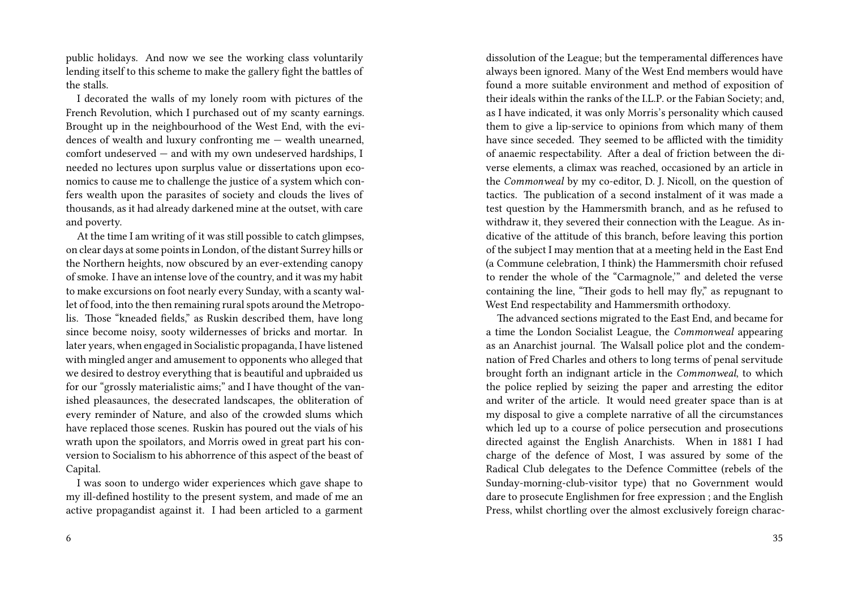public holidays. And now we see the working class voluntarily lending itself to this scheme to make the gallery fight the battles of the stalls.

I decorated the walls of my lonely room with pictures of the French Revolution, which I purchased out of my scanty earnings. Brought up in the neighbourhood of the West End, with the evidences of wealth and luxury confronting me — wealth unearned, comfort undeserved — and with my own undeserved hardships, I needed no lectures upon surplus value or dissertations upon economics to cause me to challenge the justice of a system which confers wealth upon the parasites of society and clouds the lives of thousands, as it had already darkened mine at the outset, with care and poverty.

At the time I am writing of it was still possible to catch glimpses, on clear days at some points in London, of the distant Surrey hills or the Northern heights, now obscured by an ever-extending canopy of smoke. I have an intense love of the country, and it was my habit to make excursions on foot nearly every Sunday, with a scanty wallet of food, into the then remaining rural spots around the Metropolis. Those "kneaded fields," as Ruskin described them, have long since become noisy, sooty wildernesses of bricks and mortar. In later years, when engaged in Socialistic propaganda, I have listened with mingled anger and amusement to opponents who alleged that we desired to destroy everything that is beautiful and upbraided us for our "grossly materialistic aims;" and I have thought of the vanished pleasaunces, the desecrated landscapes, the obliteration of every reminder of Nature, and also of the crowded slums which have replaced those scenes. Ruskin has poured out the vials of his wrath upon the spoilators, and Morris owed in great part his conversion to Socialism to his abhorrence of this aspect of the beast of Capital.

I was soon to undergo wider experiences which gave shape to my ill-defined hostility to the present system, and made of me an active propagandist against it. I had been articled to a garment dissolution of the League; but the temperamental differences have always been ignored. Many of the West End members would have found a more suitable environment and method of exposition of their ideals within the ranks of the I.L.P. or the Fabian Society; and, as I have indicated, it was only Morris's personality which caused them to give a lip-service to opinions from which many of them have since seceded. They seemed to be afflicted with the timidity of anaemic respectability. After a deal of friction between the diverse elements, a climax was reached, occasioned by an article in the *Commonweal* by my co-editor, D. J. Nicoll, on the question of tactics. The publication of a second instalment of it was made a test question by the Hammersmith branch, and as he refused to withdraw it, they severed their connection with the League. As indicative of the attitude of this branch, before leaving this portion of the subject I may mention that at a meeting held in the East End (a Commune celebration, I think) the Hammersmith choir refused to render the whole of the "Carmagnole,'" and deleted the verse containing the line, "Their gods to hell may fly," as repugnant to West End respectability and Hammersmith orthodoxy.

The advanced sections migrated to the East End, and became for a time the London Socialist League, the *Commonweal* appearing as an Anarchist journal. The Walsall police plot and the condemnation of Fred Charles and others to long terms of penal servitude brought forth an indignant article in the *Commonweal*, to which the police replied by seizing the paper and arresting the editor and writer of the article. It would need greater space than is at my disposal to give a complete narrative of all the circumstances which led up to a course of police persecution and prosecutions directed against the English Anarchists. When in 1881 I had charge of the defence of Most, I was assured by some of the Radical Club delegates to the Defence Committee (rebels of the Sunday-morning-club-visitor type) that no Government would dare to prosecute Englishmen for free expression ; and the English Press, whilst chortling over the almost exclusively foreign charac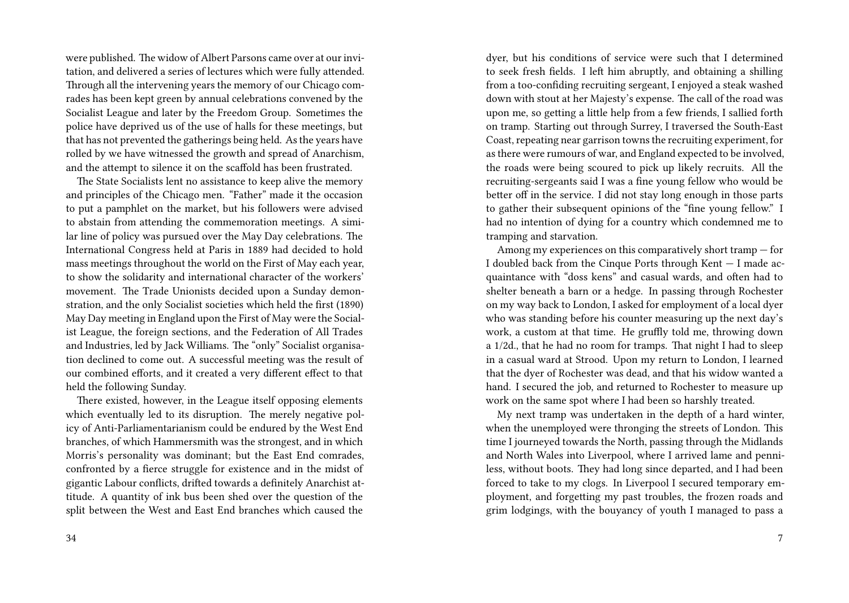were published. The widow of Albert Parsons came over at our invitation, and delivered a series of lectures which were fully attended. Through all the intervening years the memory of our Chicago comrades has been kept green by annual celebrations convened by the Socialist League and later by the Freedom Group. Sometimes the police have deprived us of the use of halls for these meetings, but that has not prevented the gatherings being held. As the years have rolled by we have witnessed the growth and spread of Anarchism, and the attempt to silence it on the scaffold has been frustrated.

The State Socialists lent no assistance to keep alive the memory and principles of the Chicago men. "Father" made it the occasion to put a pamphlet on the market, but his followers were advised to abstain from attending the commemoration meetings. A similar line of policy was pursued over the May Day celebrations. The International Congress held at Paris in 1889 had decided to hold mass meetings throughout the world on the First of May each year, to show the solidarity and international character of the workers' movement. The Trade Unionists decided upon a Sunday demonstration, and the only Socialist societies which held the first (1890) May Day meeting in England upon the First of May were the Socialist League, the foreign sections, and the Federation of All Trades and Industries, led by Jack Williams. The "only" Socialist organisation declined to come out. A successful meeting was the result of our combined efforts, and it created a very different effect to that held the following Sunday.

There existed, however, in the League itself opposing elements which eventually led to its disruption. The merely negative policy of Anti-Parliamentarianism could be endured by the West End branches, of which Hammersmith was the strongest, and in which Morris's personality was dominant; but the East End comrades, confronted by a fierce struggle for existence and in the midst of gigantic Labour conflicts, drifted towards a definitely Anarchist attitude. A quantity of ink bus been shed over the question of the split between the West and East End branches which caused the

dyer, but his conditions of service were such that I determined to seek fresh fields. I left him abruptly, and obtaining a shilling from a too-confiding recruiting sergeant, I enjoyed a steak washed down with stout at her Majesty's expense. The call of the road was upon me, so getting a little help from a few friends, I sallied forth on tramp. Starting out through Surrey, I traversed the South-East Coast, repeating near garrison towns the recruiting experiment, for as there were rumours of war, and England expected to be involved, the roads were being scoured to pick up likely recruits. All the recruiting-sergeants said I was a fine young fellow who would be better off in the service. I did not stay long enough in those parts to gather their subsequent opinions of the "fine young fellow." I had no intention of dying for a country which condemned me to tramping and starvation.

Among my experiences on this comparatively short tramp — for I doubled back from the Cinque Ports through Kent — I made acquaintance with "doss kens" and casual wards, and often had to shelter beneath a barn or a hedge. In passing through Rochester on my way back to London, I asked for employment of a local dyer who was standing before his counter measuring up the next day's work, a custom at that time. He gruffly told me, throwing down a 1/2d., that he had no room for tramps. That night I had to sleep in a casual ward at Strood. Upon my return to London, I learned that the dyer of Rochester was dead, and that his widow wanted a hand. I secured the job, and returned to Rochester to measure up work on the same spot where I had been so harshly treated.

My next tramp was undertaken in the depth of a hard winter, when the unemployed were thronging the streets of London. This time I journeyed towards the North, passing through the Midlands and North Wales into Liverpool, where I arrived lame and penniless, without boots. They had long since departed, and I had been forced to take to my clogs. In Liverpool I secured temporary employment, and forgetting my past troubles, the frozen roads and grim lodgings, with the bouyancy of youth I managed to pass a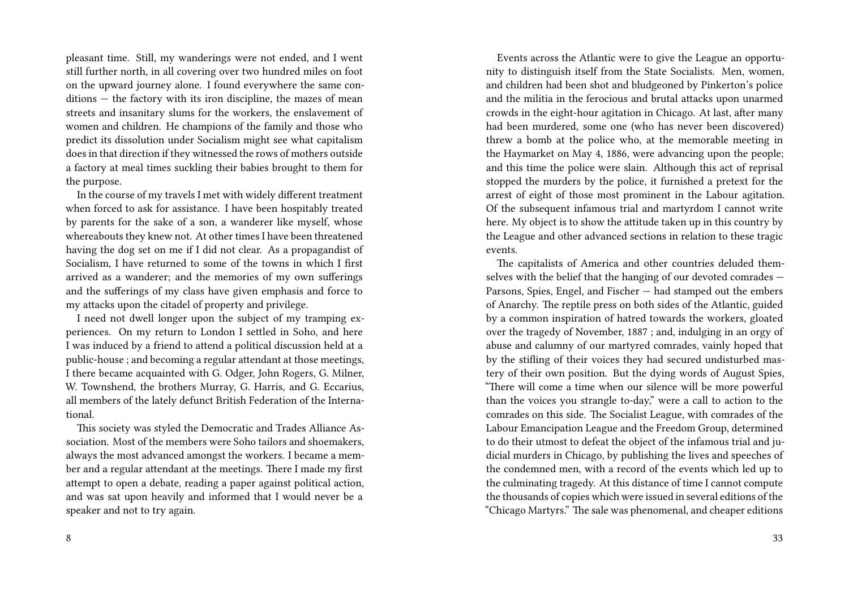pleasant time. Still, my wanderings were not ended, and I went still further north, in all covering over two hundred miles on foot on the upward journey alone. I found everywhere the same conditions — the factory with its iron discipline, the mazes of mean streets and insanitary slums for the workers, the enslavement of women and children. He champions of the family and those who predict its dissolution under Socialism might see what capitalism does in that direction if they witnessed the rows of mothers outside a factory at meal times suckling their babies brought to them for the purpose.

In the course of my travels I met with widely different treatment when forced to ask for assistance. I have been hospitably treated by parents for the sake of a son, a wanderer like myself, whose whereabouts they knew not. At other times I have been threatened having the dog set on me if I did not clear. As a propagandist of Socialism, I have returned to some of the towns in which I first arrived as a wanderer; and the memories of my own sufferings and the sufferings of my class have given emphasis and force to my attacks upon the citadel of property and privilege.

I need not dwell longer upon the subject of my tramping experiences. On my return to London I settled in Soho, and here I was induced by a friend to attend a political discussion held at a public-house ; and becoming a regular attendant at those meetings, I there became acquainted with G. Odger, John Rogers, G. Milner, W. Townshend, the brothers Murray, G. Harris, and G. Eccarius, all members of the lately defunct British Federation of the International.

This society was styled the Democratic and Trades Alliance Association. Most of the members were Soho tailors and shoemakers, always the most advanced amongst the workers. I became a member and a regular attendant at the meetings. There I made my first attempt to open a debate, reading a paper against political action, and was sat upon heavily and informed that I would never be a speaker and not to try again.

Events across the Atlantic were to give the League an opportunity to distinguish itself from the State Socialists. Men, women, and children had been shot and bludgeoned by Pinkerton's police and the militia in the ferocious and brutal attacks upon unarmed crowds in the eight-hour agitation in Chicago. At last, after many had been murdered, some one (who has never been discovered) threw a bomb at the police who, at the memorable meeting in the Haymarket on May 4, 1886, were advancing upon the people; and this time the police were slain. Although this act of reprisal stopped the murders by the police, it furnished a pretext for the arrest of eight of those most prominent in the Labour agitation. Of the subsequent infamous trial and martyrdom I cannot write here. My object is to show the attitude taken up in this country by the League and other advanced sections in relation to these tragic events.

The capitalists of America and other countries deluded themselves with the belief that the hanging of our devoted comrades — Parsons, Spies, Engel, and Fischer — had stamped out the embers of Anarchy. The reptile press on both sides of the Atlantic, guided by a common inspiration of hatred towards the workers, gloated over the tragedy of November, 1887 ; and, indulging in an orgy of abuse and calumny of our martyred comrades, vainly hoped that by the stifling of their voices they had secured undisturbed mastery of their own position. But the dying words of August Spies, "There will come a time when our silence will be more powerful than the voices you strangle to-day," were a call to action to the comrades on this side. The Socialist League, with comrades of the Labour Emancipation League and the Freedom Group, determined to do their utmost to defeat the object of the infamous trial and judicial murders in Chicago, by publishing the lives and speeches of the condemned men, with a record of the events which led up to the culminating tragedy. At this distance of time I cannot compute the thousands of copies which were issued in several editions of the "Chicago Martyrs." The sale was phenomenal, and cheaper editions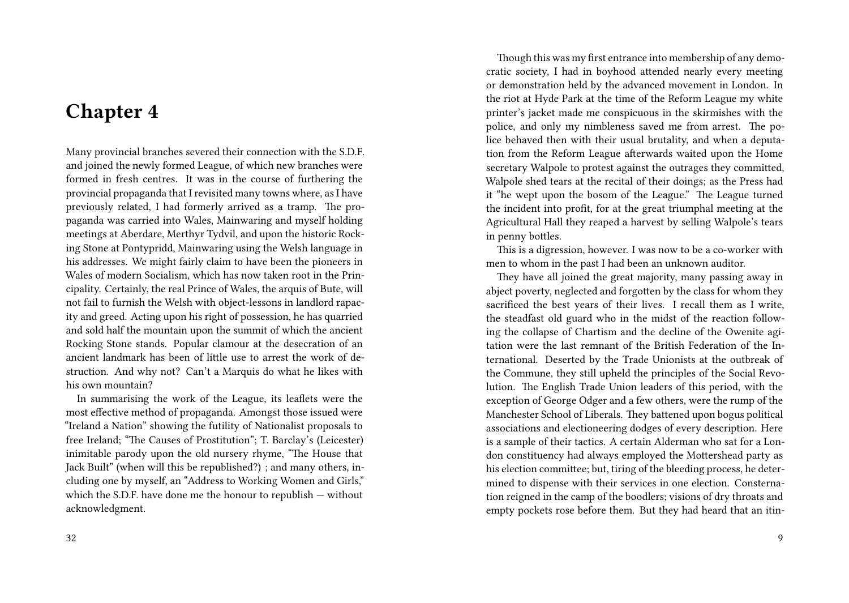## **Chapter 4**

Many provincial branches severed their connection with the S.D.F. and joined the newly formed League, of which new branches were formed in fresh centres. It was in the course of furthering the provincial propaganda that I revisited many towns where, as I have previously related, I had formerly arrived as a tramp. The propaganda was carried into Wales, Mainwaring and myself holding meetings at Aberdare, Merthyr Tydvil, and upon the historic Rocking Stone at Pontypridd, Mainwaring using the Welsh language in his addresses. We might fairly claim to have been the pioneers in Wales of modern Socialism, which has now taken root in the Principality. Certainly, the real Prince of Wales, the arquis of Bute, will not fail to furnish the Welsh with object-lessons in landlord rapacity and greed. Acting upon his right of possession, he has quarried and sold half the mountain upon the summit of which the ancient Rocking Stone stands. Popular clamour at the desecration of an ancient landmark has been of little use to arrest the work of destruction. And why not? Can't a Marquis do what he likes with his own mountain?

In summarising the work of the League, its leaflets were the most effective method of propaganda. Amongst those issued were "Ireland a Nation" showing the futility of Nationalist proposals to free Ireland; "The Causes of Prostitution"; T. Barclay's (Leicester) inimitable parody upon the old nursery rhyme, "The House that Jack Built" (when will this be republished?) ; and many others, including one by myself, an "Address to Working Women and Girls," which the S.D.F. have done me the honour to republish — without acknowledgment.

Though this was my first entrance into membership of any democratic society, I had in boyhood attended nearly every meeting or demonstration held by the advanced movement in London. In the riot at Hyde Park at the time of the Reform League my white printer's jacket made me conspicuous in the skirmishes with the police, and only my nimbleness saved me from arrest. The police behaved then with their usual brutality, and when a deputation from the Reform League afterwards waited upon the Home secretary Walpole to protest against the outrages they committed, Walpole shed tears at the recital of their doings; as the Press had it "he wept upon the bosom of the League." The League turned the incident into profit, for at the great triumphal meeting at the Agricultural Hall they reaped a harvest by selling Walpole's tears in penny bottles.

This is a digression, however. I was now to be a co-worker with men to whom in the past I had been an unknown auditor.

They have all joined the great majority, many passing away in abject poverty, neglected and forgotten by the class for whom they sacrificed the best years of their lives. I recall them as I write, the steadfast old guard who in the midst of the reaction following the collapse of Chartism and the decline of the Owenite agitation were the last remnant of the British Federation of the International. Deserted by the Trade Unionists at the outbreak of the Commune, they still upheld the principles of the Social Revolution. The English Trade Union leaders of this period, with the exception of George Odger and a few others, were the rump of the Manchester School of Liberals. They battened upon bogus political associations and electioneering dodges of every description. Here is a sample of their tactics. A certain Alderman who sat for a London constituency had always employed the Mottershead party as his election committee; but, tiring of the bleeding process, he determined to dispense with their services in one election. Consternation reigned in the camp of the boodlers; visions of dry throats and empty pockets rose before them. But they had heard that an itin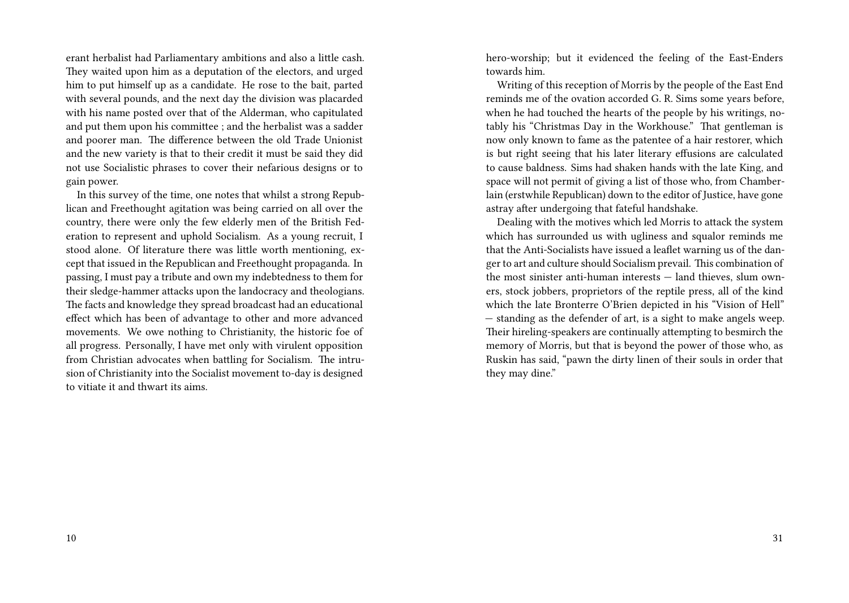erant herbalist had Parliamentary ambitions and also a little cash. They waited upon him as a deputation of the electors, and urged him to put himself up as a candidate. He rose to the bait, parted with several pounds, and the next day the division was placarded with his name posted over that of the Alderman, who capitulated and put them upon his committee ; and the herbalist was a sadder and poorer man. The difference between the old Trade Unionist and the new variety is that to their credit it must be said they did not use Socialistic phrases to cover their nefarious designs or to gain power.

In this survey of the time, one notes that whilst a strong Republican and Freethought agitation was being carried on all over the country, there were only the few elderly men of the British Federation to represent and uphold Socialism. As a young recruit, I stood alone. Of literature there was little worth mentioning, except that issued in the Republican and Freethought propaganda. In passing, I must pay a tribute and own my indebtedness to them for their sledge-hammer attacks upon the landocracy and theologians. The facts and knowledge they spread broadcast had an educational effect which has been of advantage to other and more advanced movements. We owe nothing to Christianity, the historic foe of all progress. Personally, I have met only with virulent opposition from Christian advocates when battling for Socialism. The intrusion of Christianity into the Socialist movement to-day is designed to vitiate it and thwart its aims.

hero-worship; but it evidenced the feeling of the East-Enders towards him.

Writing of this reception of Morris by the people of the East End reminds me of the ovation accorded G. R. Sims some years before, when he had touched the hearts of the people by his writings, notably his "Christmas Day in the Workhouse." That gentleman is now only known to fame as the patentee of a hair restorer, which is but right seeing that his later literary effusions are calculated to cause baldness. Sims had shaken hands with the late King, and space will not permit of giving a list of those who, from Chamberlain (erstwhile Republican) down to the editor of Justice, have gone astray after undergoing that fateful handshake.

Dealing with the motives which led Morris to attack the system which has surrounded us with ugliness and squalor reminds me that the Anti-Socialists have issued a leaflet warning us of the danger to art and culture should Socialism prevail. This combination of the most sinister anti-human interests — land thieves, slum owners, stock jobbers, proprietors of the reptile press, all of the kind which the late Bronterre O'Brien depicted in his "Vision of Hell" — standing as the defender of art, is a sight to make angels weep. Their hireling-speakers are continually attempting to besmirch the memory of Morris, but that is beyond the power of those who, as Ruskin has said, "pawn the dirty linen of their souls in order that they may dine."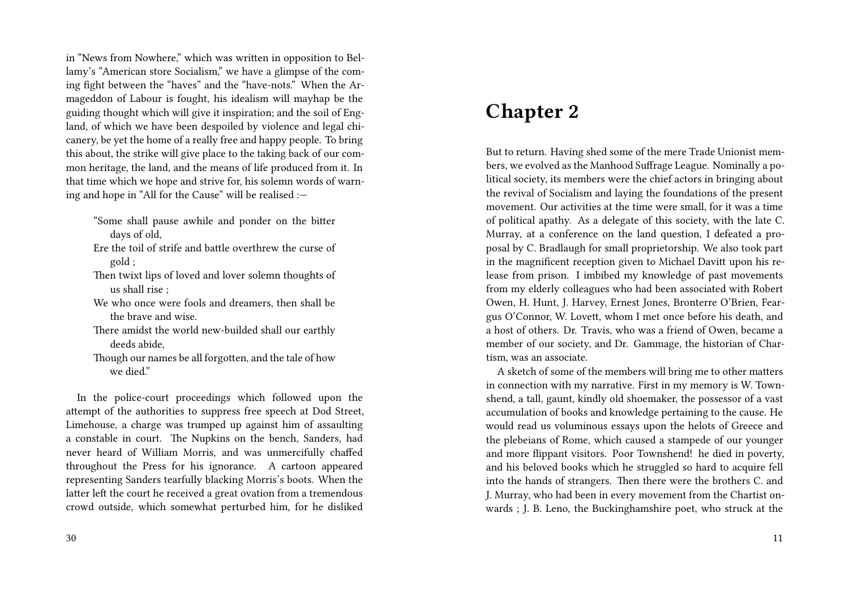in "News from Nowhere," which was written in opposition to Bellamy's "American store Socialism," we have a glimpse of the coming fight between the "haves" and the "have-nots." When the Armageddon of Labour is fought, his idealism will mayhap be the guiding thought which will give it inspiration; and the soil of England, of which we have been despoiled by violence and legal chicanery, be yet the home of a really free and happy people. To bring this about, the strike will give place to the taking back of our common heritage, the land, and the means of life produced from it. In that time which we hope and strive for, his solemn words of warning and hope in "All for the Cause" will be realised :—

"Some shall pause awhile and ponder on the bitter days of old,

- Ere the toil of strife and battle overthrew the curse of gold ;
- Then twixt lips of loved and lover solemn thoughts of us shall rise ;
- We who once were fools and dreamers, then shall be the brave and wise.
- There amidst the world new-builded shall our earthly deeds abide,
- Though our names be all forgotten, and the tale of how we died"

In the police-court proceedings which followed upon the attempt of the authorities to suppress free speech at Dod Street, Limehouse, a charge was trumped up against him of assaulting a constable in court. The Nupkins on the bench, Sanders, had never heard of William Morris, and was unmercifully chaffed throughout the Press for his ignorance. A cartoon appeared representing Sanders tearfully blacking Morris's boots. When the latter left the court he received a great ovation from a tremendous crowd outside, which somewhat perturbed him, for he disliked

### **Chapter 2**

But to return. Having shed some of the mere Trade Unionist members, we evolved as the Manhood Suffrage League. Nominally a political society, its members were the chief actors in bringing about the revival of Socialism and laying the foundations of the present movement. Our activities at the time were small, for it was a time of political apathy. As a delegate of this society, with the late C. Murray, at a conference on the land question, I defeated a proposal by C. Bradlaugh for small proprietorship. We also took part in the magnificent reception given to Michael Davitt upon his release from prison. I imbibed my knowledge of past movements from my elderly colleagues who had been associated with Robert Owen, H. Hunt, J. Harvey, Ernest Jones, Bronterre O'Brien, Feargus O'Connor, W. Lovett, whom I met once before his death, and a host of others. Dr. Travis, who was a friend of Owen, became a member of our society, and Dr. Gammage, the historian of Chartism, was an associate.

A sketch of some of the members will bring me to other matters in connection with my narrative. First in my memory is W. Townshend, a tall, gaunt, kindly old shoemaker, the possessor of a vast accumulation of books and knowledge pertaining to the cause. He would read us voluminous essays upon the helots of Greece and the plebeians of Rome, which caused a stampede of our younger and more flippant visitors. Poor Townshend! he died in poverty, and his beloved books which he struggled so hard to acquire fell into the hands of strangers. Then there were the brothers C. and J. Murray, who had been in every movement from the Chartist onwards ; J. B. Leno, the Buckinghamshire poet, who struck at the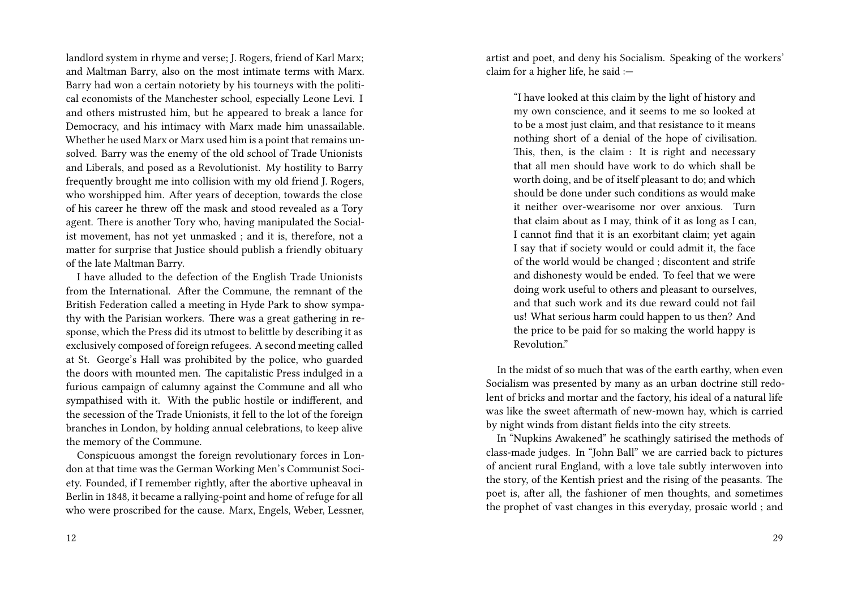landlord system in rhyme and verse; J. Rogers, friend of Karl Marx; and Maltman Barry, also on the most intimate terms with Marx. Barry had won a certain notoriety by his tourneys with the political economists of the Manchester school, especially Leone Levi. I and others mistrusted him, but he appeared to break a lance for Democracy, and his intimacy with Marx made him unassailable. Whether he used Marx or Marx used him is a point that remains unsolved. Barry was the enemy of the old school of Trade Unionists and Liberals, and posed as a Revolutionist. My hostility to Barry frequently brought me into collision with my old friend J. Rogers, who worshipped him. After years of deception, towards the close of his career he threw off the mask and stood revealed as a Tory agent. There is another Tory who, having manipulated the Socialist movement, has not yet unmasked ; and it is, therefore, not a matter for surprise that Justice should publish a friendly obituary of the late Maltman Barry.

I have alluded to the defection of the English Trade Unionists from the International. After the Commune, the remnant of the British Federation called a meeting in Hyde Park to show sympathy with the Parisian workers. There was a great gathering in response, which the Press did its utmost to belittle by describing it as exclusively composed of foreign refugees. A second meeting called at St. George's Hall was prohibited by the police, who guarded the doors with mounted men. The capitalistic Press indulged in a furious campaign of calumny against the Commune and all who sympathised with it. With the public hostile or indifferent, and the secession of the Trade Unionists, it fell to the lot of the foreign branches in London, by holding annual celebrations, to keep alive the memory of the Commune.

Conspicuous amongst the foreign revolutionary forces in London at that time was the German Working Men's Communist Society. Founded, if I remember rightly, after the abortive upheaval in Berlin in 1848, it became a rallying-point and home of refuge for all who were proscribed for the cause. Marx, Engels, Weber, Lessner, artist and poet, and deny his Socialism. Speaking of the workers' claim for a higher life, he said :—

"I have looked at this claim by the light of history and my own conscience, and it seems to me so looked at to be a most just claim, and that resistance to it means nothing short of a denial of the hope of civilisation. This, then, is the claim : It is right and necessary that all men should have work to do which shall be worth doing, and be of itself pleasant to do; and which should be done under such conditions as would make it neither over-wearisome nor over anxious. Turn that claim about as I may, think of it as long as I can, I cannot find that it is an exorbitant claim; yet again I say that if society would or could admit it, the face of the world would be changed ; discontent and strife and dishonesty would be ended. To feel that we were doing work useful to others and pleasant to ourselves, and that such work and its due reward could not fail us! What serious harm could happen to us then? And the price to be paid for so making the world happy is Revolution."

In the midst of so much that was of the earth earthy, when even Socialism was presented by many as an urban doctrine still redolent of bricks and mortar and the factory, his ideal of a natural life was like the sweet aftermath of new-mown hay, which is carried by night winds from distant fields into the city streets.

In "Nupkins Awakened" he scathingly satirised the methods of class-made judges. In "John Ball" we are carried back to pictures of ancient rural England, with a love tale subtly interwoven into the story, of the Kentish priest and the rising of the peasants. The poet is, after all, the fashioner of men thoughts, and sometimes the prophet of vast changes in this everyday, prosaic world ; and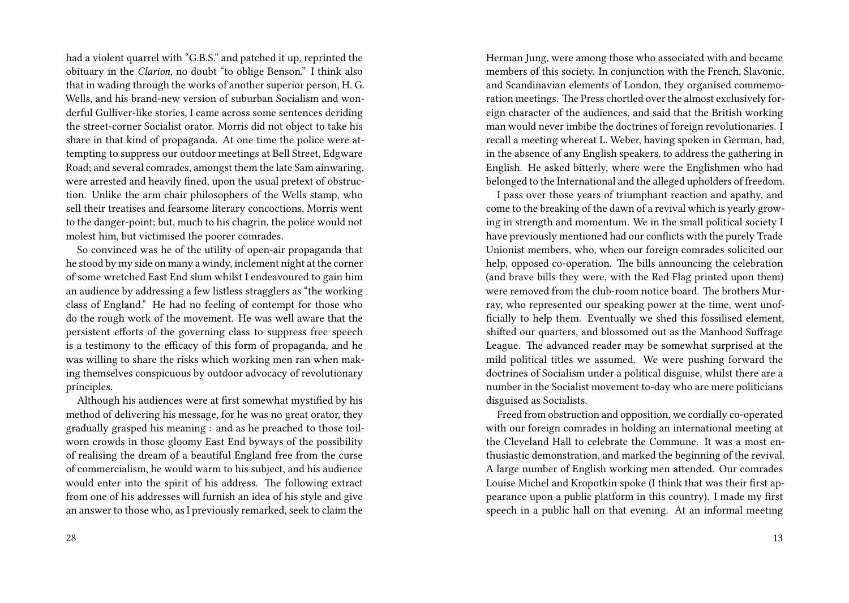had a violent quarrel with "G.B.S." and patched it up, reprinted the obituary in the *Clarion*, no doubt "to oblige Benson." I think also that in wading through the works of another superior person, H. G. Wells, and his brand-new version of suburban Socialism and wonderful Gulliver-like stories, I came across some sentences deriding the street-corner Socialist orator. Morris did not object to take his share in that kind of propaganda. At one time the police were attempting to suppress our outdoor meetings at Bell Street, Edgware Road; and several comrades, amongst them the late Sam ainwaring, were arrested and heavily fined, upon the usual pretext of obstruction. Unlike the arm chair philosophers of the Wells stamp, who sell their treatises and fearsome literary concoctions, Morris went to the danger-point; but, much to his chagrin, the police would not molest him, but victimised the poorer comrades.

So convinced was he of the utility of open-air propaganda that he stood by my side on many a windy, inclement night at the corner of some wretched East End slum whilst I endeavoured to gain him an audience by addressing a few listless stragglers as "the working class of England." He had no feeling of contempt for those who do the rough work of the movement. He was well aware that the persistent efforts of the governing class to suppress free speech is a testimony to the efficacy of this form of propaganda, and he was willing to share the risks which working men ran when making themselves conspicuous by outdoor advocacy of revolutionary principles.

Although his audiences were at first somewhat mystified by his method of delivering his message, for he was no great orator, they gradually grasped his meaning : and as he preached to those toilworn crowds in those gloomy East End byways of the possibility of realising the dream of a beautiful England free from the curse of commercialism, he would warm to his subject, and his audience would enter into the spirit of his address. The following extract from one of his addresses will furnish an idea of his style and give an answer to those who, as I previously remarked, seek to claim the Herman Jung, were among those who associated with and became members of this society. In conjunction with the French, Slavonic, and Scandinavian elements of London, they organised commemoration meetings. The Press chortled over the almost exclusively foreign character of the audiences, and said that the British working man would never imbibe the doctrines of foreign revolutionaries. I recall a meeting whereat L. Weber, having spoken in German, had, in the absence of any English speakers, to address the gathering in English. He asked bitterly, where were the Englishmen who had belonged to the International and the alleged upholders of freedom.

I pass over those years of triumphant reaction and apathy, and come to the breaking of the dawn of a revival which is yearly growing in strength and momentum. We in the small political society I have previously mentioned had our conflicts with the purely Trade Unionist members, who, when our foreign comrades solicited our help, opposed co-operation. The bills announcing the celebration (and brave bills they were, with the Red Flag printed upon them) were removed from the club-room notice board. The brothers Murray, who represented our speaking power at the time, went unofficially to help them. Eventually we shed this fossilised element, shifted our quarters, and blossomed out as the Manhood Suffrage League. The advanced reader may be somewhat surprised at the mild political titles we assumed. We were pushing forward the doctrines of Socialism under a political disguise, whilst there are a number in the Socialist movement to-day who are mere politicians disguised as Socialists.

Freed from obstruction and opposition, we cordially co-operated with our foreign comrades in holding an international meeting at the Cleveland Hall to celebrate the Commune. It was a most enthusiastic demonstration, and marked the beginning of the revival. A large number of English working men attended. Our comrades Louise Michel and Kropotkin spoke (I think that was their first appearance upon a public platform in this country). I made my first speech in a public hall on that evening. At an informal meeting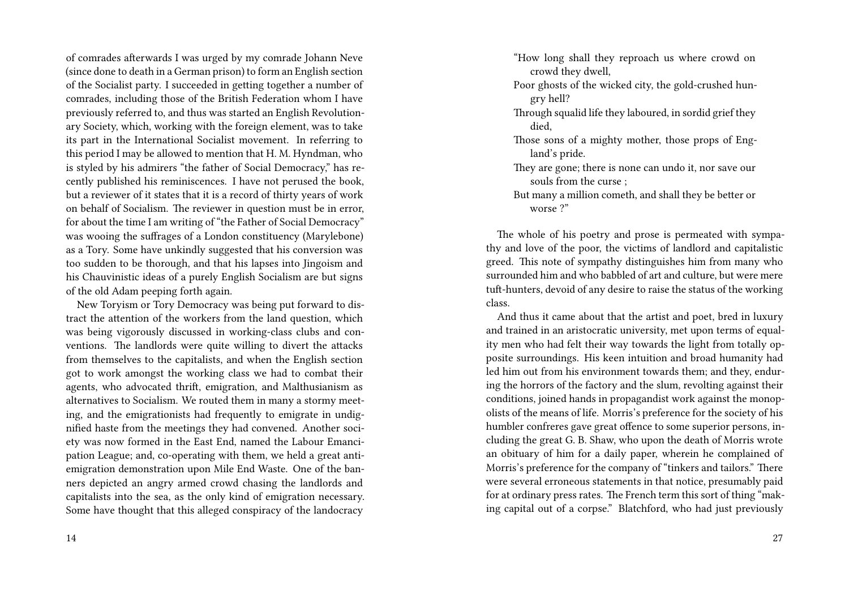of comrades afterwards I was urged by my comrade Johann Neve (since done to death in a German prison) to form an English section of the Socialist party. I succeeded in getting together a number of comrades, including those of the British Federation whom I have previously referred to, and thus was started an English Revolutionary Society, which, working with the foreign element, was to take its part in the International Socialist movement. In referring to this period I may be allowed to mention that H. M. Hyndman, who is styled by his admirers "the father of Social Democracy," has recently published his reminiscences. I have not perused the book, but a reviewer of it states that it is a record of thirty years of work on behalf of Socialism. The reviewer in question must be in error, for about the time I am writing of "the Father of Social Democracy" was wooing the suffrages of a London constituency (Marylebone) as a Tory. Some have unkindly suggested that his conversion was too sudden to be thorough, and that his lapses into Jingoism and his Chauvinistic ideas of a purely English Socialism are but signs of the old Adam peeping forth again.

New Toryism or Tory Democracy was being put forward to distract the attention of the workers from the land question, which was being vigorously discussed in working-class clubs and conventions. The landlords were quite willing to divert the attacks from themselves to the capitalists, and when the English section got to work amongst the working class we had to combat their agents, who advocated thrift, emigration, and Malthusianism as alternatives to Socialism. We routed them in many a stormy meeting, and the emigrationists had frequently to emigrate in undignified haste from the meetings they had convened. Another society was now formed in the East End, named the Labour Emancipation League; and, co-operating with them, we held a great antiemigration demonstration upon Mile End Waste. One of the banners depicted an angry armed crowd chasing the landlords and capitalists into the sea, as the only kind of emigration necessary. Some have thought that this alleged conspiracy of the landocracy "How long shall they reproach us where crowd on crowd they dwell,

- Poor ghosts of the wicked city, the gold-crushed hungry hell?
- Through squalid life they laboured, in sordid grief they died,
- Those sons of a mighty mother, those props of England's pride.
- They are gone; there is none can undo it, nor save our souls from the curse ;
- But many a million cometh, and shall they be better or worse ?"

The whole of his poetry and prose is permeated with sympathy and love of the poor, the victims of landlord and capitalistic greed. This note of sympathy distinguishes him from many who surrounded him and who babbled of art and culture, but were mere tuft-hunters, devoid of any desire to raise the status of the working class.

And thus it came about that the artist and poet, bred in luxury and trained in an aristocratic university, met upon terms of equality men who had felt their way towards the light from totally opposite surroundings. His keen intuition and broad humanity had led him out from his environment towards them; and they, enduring the horrors of the factory and the slum, revolting against their conditions, joined hands in propagandist work against the monopolists of the means of life. Morris's preference for the society of his humbler confreres gave great offence to some superior persons, including the great G. B. Shaw, who upon the death of Morris wrote an obituary of him for a daily paper, wherein he complained of Morris's preference for the company of "tinkers and tailors." There were several erroneous statements in that notice, presumably paid for at ordinary press rates. The French term this sort of thing "making capital out of a corpse." Blatchford, who had just previously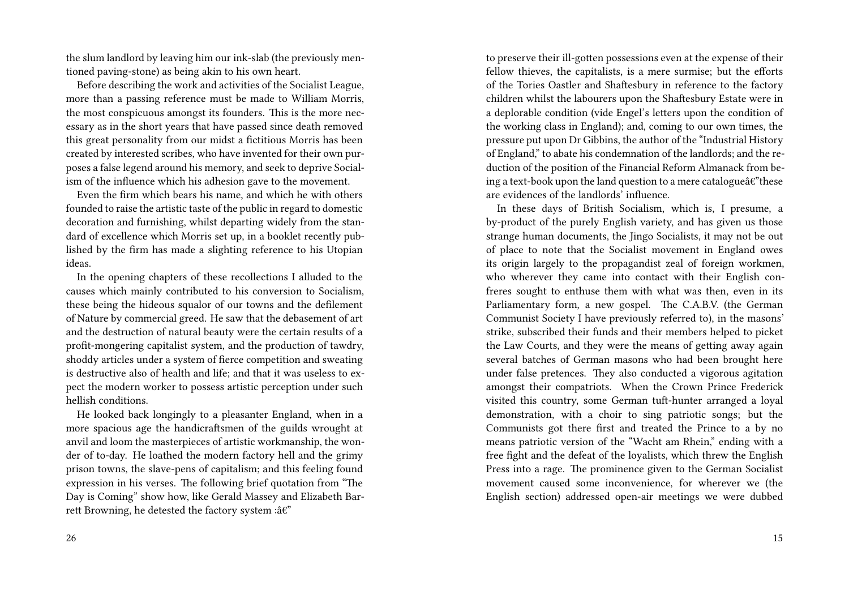the slum landlord by leaving him our ink-slab (the previously mentioned paving-stone) as being akin to his own heart.

Before describing the work and activities of the Socialist League, more than a passing reference must be made to William Morris, the most conspicuous amongst its founders. This is the more necessary as in the short years that have passed since death removed this great personality from our midst a fictitious Morris has been created by interested scribes, who have invented for their own purposes a false legend around his memory, and seek to deprive Socialism of the influence which his adhesion gave to the movement.

Even the firm which bears his name, and which he with others founded to raise the artistic taste of the public in regard to domestic decoration and furnishing, whilst departing widely from the standard of excellence which Morris set up, in a booklet recently published by the firm has made a slighting reference to his Utopian ideas.

In the opening chapters of these recollections I alluded to the causes which mainly contributed to his conversion to Socialism, these being the hideous squalor of our towns and the defilement of Nature by commercial greed. He saw that the debasement of art and the destruction of natural beauty were the certain results of a profit-mongering capitalist system, and the production of tawdry, shoddy articles under a system of fierce competition and sweating is destructive also of health and life; and that it was useless to expect the modern worker to possess artistic perception under such hellish conditions.

He looked back longingly to a pleasanter England, when in a more spacious age the handicraftsmen of the guilds wrought at anvil and loom the masterpieces of artistic workmanship, the wonder of to-day. He loathed the modern factory hell and the grimy prison towns, the slave-pens of capitalism; and this feeling found expression in his verses. The following brief quotation from "The Day is Coming" show how, like Gerald Massey and Elizabeth Barrett Browning, he detested the factory system : $\hat{a}\epsilon$ "

to preserve their ill-gotten possessions even at the expense of their fellow thieves, the capitalists, is a mere surmise; but the efforts of the Tories Oastler and Shaftesbury in reference to the factory children whilst the labourers upon the Shaftesbury Estate were in a deplorable condition (vide Engel's letters upon the condition of the working class in England); and, coming to our own times, the pressure put upon Dr Gibbins, the author of the "Industrial History of England," to abate his condemnation of the landlords; and the reduction of the position of the Financial Reform Almanack from being a text-book upon the land question to a mere catalogue $\hat{a}\hat{\epsilon}$ "these are evidences of the landlords' influence.

In these days of British Socialism, which is, I presume, a by-product of the purely English variety, and has given us those strange human documents, the Jingo Socialists, it may not be out of place to note that the Socialist movement in England owes its origin largely to the propagandist zeal of foreign workmen, who wherever they came into contact with their English confreres sought to enthuse them with what was then, even in its Parliamentary form, a new gospel. The C.A.B.V. (the German Communist Society I have previously referred to), in the masons' strike, subscribed their funds and their members helped to picket the Law Courts, and they were the means of getting away again several batches of German masons who had been brought here under false pretences. They also conducted a vigorous agitation amongst their compatriots. When the Crown Prince Frederick visited this country, some German tuft-hunter arranged a loyal demonstration, with a choir to sing patriotic songs; but the Communists got there first and treated the Prince to a by no means patriotic version of the "Wacht am Rhein," ending with a free fight and the defeat of the loyalists, which threw the English Press into a rage. The prominence given to the German Socialist movement caused some inconvenience, for wherever we (the English section) addressed open-air meetings we were dubbed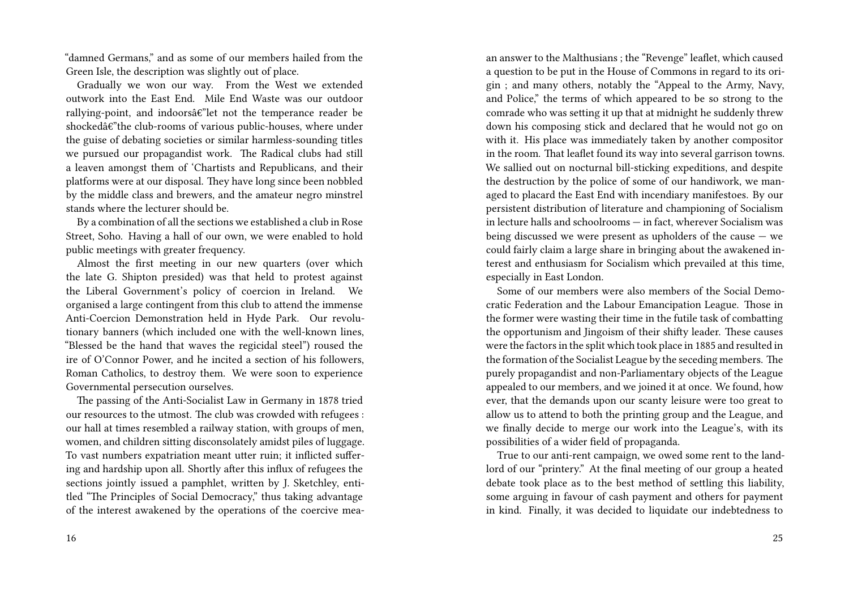"damned Germans," and as some of our members hailed from the Green Isle, the description was slightly out of place.

Gradually we won our way. From the West we extended outwork into the East End. Mile End Waste was our outdoor rallying-point, and indoors $\hat{a}\hat{\epsilon}$ "let not the temperance reader be shockedâ $\varepsilon$ "the club-rooms of various public-houses, where under the guise of debating societies or similar harmless-sounding titles we pursued our propagandist work. The Radical clubs had still a leaven amongst them of 'Chartists and Republicans, and their platforms were at our disposal. They have long since been nobbled by the middle class and brewers, and the amateur negro minstrel stands where the lecturer should be.

By a combination of all the sections we established a club in Rose Street, Soho. Having a hall of our own, we were enabled to hold public meetings with greater frequency.

Almost the first meeting in our new quarters (over which the late G. Shipton presided) was that held to protest against the Liberal Government's policy of coercion in Ireland. We organised a large contingent from this club to attend the immense Anti-Coercion Demonstration held in Hyde Park. Our revolutionary banners (which included one with the well-known lines, "Blessed be the hand that waves the regicidal steel") roused the ire of O'Connor Power, and he incited a section of his followers, Roman Catholics, to destroy them. We were soon to experience Governmental persecution ourselves.

The passing of the Anti-Socialist Law in Germany in 1878 tried our resources to the utmost. The club was crowded with refugees : our hall at times resembled a railway station, with groups of men, women, and children sitting disconsolately amidst piles of luggage. To vast numbers expatriation meant utter ruin; it inflicted suffering and hardship upon all. Shortly after this influx of refugees the sections jointly issued a pamphlet, written by J. Sketchley, entitled "The Principles of Social Democracy," thus taking advantage of the interest awakened by the operations of the coercive meaan answer to the Malthusians ; the "Revenge" leaflet, which caused a question to be put in the House of Commons in regard to its origin ; and many others, notably the "Appeal to the Army, Navy, and Police," the terms of which appeared to be so strong to the comrade who was setting it up that at midnight he suddenly threw down his composing stick and declared that he would not go on with it. His place was immediately taken by another compositor in the room. That leaflet found its way into several garrison towns. We sallied out on nocturnal bill-sticking expeditions, and despite the destruction by the police of some of our handiwork, we managed to placard the East End with incendiary manifestoes. By our persistent distribution of literature and championing of Socialism in lecture halls and schoolrooms — in fact, wherever Socialism was being discussed we were present as upholders of the cause — we could fairly claim a large share in bringing about the awakened interest and enthusiasm for Socialism which prevailed at this time, especially in East London.

Some of our members were also members of the Social Democratic Federation and the Labour Emancipation League. Those in the former were wasting their time in the futile task of combatting the opportunism and Jingoism of their shifty leader. These causes were the factors in the split which took place in 1885 and resulted in the formation of the Socialist League by the seceding members. The purely propagandist and non-Parliamentary objects of the League appealed to our members, and we joined it at once. We found, how ever, that the demands upon our scanty leisure were too great to allow us to attend to both the printing group and the League, and we finally decide to merge our work into the League's, with its possibilities of a wider field of propaganda.

True to our anti-rent campaign, we owed some rent to the landlord of our "printery." At the final meeting of our group a heated debate took place as to the best method of settling this liability, some arguing in favour of cash payment and others for payment in kind. Finally, it was decided to liquidate our indebtedness to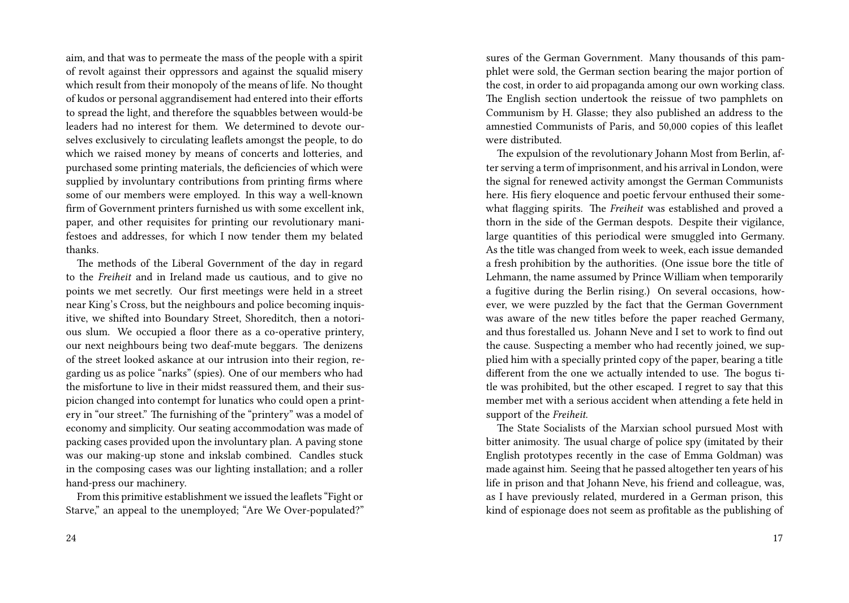aim, and that was to permeate the mass of the people with a spirit of revolt against their oppressors and against the squalid misery which result from their monopoly of the means of life. No thought of kudos or personal aggrandisement had entered into their efforts to spread the light, and therefore the squabbles between would-be leaders had no interest for them. We determined to devote ourselves exclusively to circulating leaflets amongst the people, to do which we raised money by means of concerts and lotteries, and purchased some printing materials, the deficiencies of which were supplied by involuntary contributions from printing firms where some of our members were employed. In this way a well-known firm of Government printers furnished us with some excellent ink, paper, and other requisites for printing our revolutionary manifestoes and addresses, for which I now tender them my belated thanks.

The methods of the Liberal Government of the day in regard to the *Freiheit* and in Ireland made us cautious, and to give no points we met secretly. Our first meetings were held in a street near King's Cross, but the neighbours and police becoming inquisitive, we shifted into Boundary Street, Shoreditch, then a notorious slum. We occupied a floor there as a co-operative printery, our next neighbours being two deaf-mute beggars. The denizens of the street looked askance at our intrusion into their region, regarding us as police "narks" (spies). One of our members who had the misfortune to live in their midst reassured them, and their suspicion changed into contempt for lunatics who could open a printery in "our street." The furnishing of the "printery" was a model of economy and simplicity. Our seating accommodation was made of packing cases provided upon the involuntary plan. A paving stone was our making-up stone and inkslab combined. Candles stuck in the composing cases was our lighting installation; and a roller hand-press our machinery.

From this primitive establishment we issued the leaflets "Fight or Starve," an appeal to the unemployed; "Are We Over-populated?" sures of the German Government. Many thousands of this pamphlet were sold, the German section bearing the major portion of the cost, in order to aid propaganda among our own working class. The English section undertook the reissue of two pamphlets on Communism by H. Glasse; they also published an address to the amnestied Communists of Paris, and 50,000 copies of this leaflet were distributed.

The expulsion of the revolutionary Johann Most from Berlin, after serving a term of imprisonment, and his arrival in London, were the signal for renewed activity amongst the German Communists here. His fiery eloquence and poetic fervour enthused their somewhat flagging spirits. The *Freiheit* was established and proved a thorn in the side of the German despots. Despite their vigilance, large quantities of this periodical were smuggled into Germany. As the title was changed from week to week, each issue demanded a fresh prohibition by the authorities. (One issue bore the title of Lehmann, the name assumed by Prince William when temporarily a fugitive during the Berlin rising.) On several occasions, however, we were puzzled by the fact that the German Government was aware of the new titles before the paper reached Germany, and thus forestalled us. Johann Neve and I set to work to find out the cause. Suspecting a member who had recently joined, we supplied him with a specially printed copy of the paper, bearing a title different from the one we actually intended to use. The bogus title was prohibited, but the other escaped. I regret to say that this member met with a serious accident when attending a fete held in support of the *Freiheit*.

The State Socialists of the Marxian school pursued Most with bitter animosity. The usual charge of police spy (imitated by their English prototypes recently in the case of Emma Goldman) was made against him. Seeing that he passed altogether ten years of his life in prison and that Johann Neve, his friend and colleague, was, as I have previously related, murdered in a German prison, this kind of espionage does not seem as profitable as the publishing of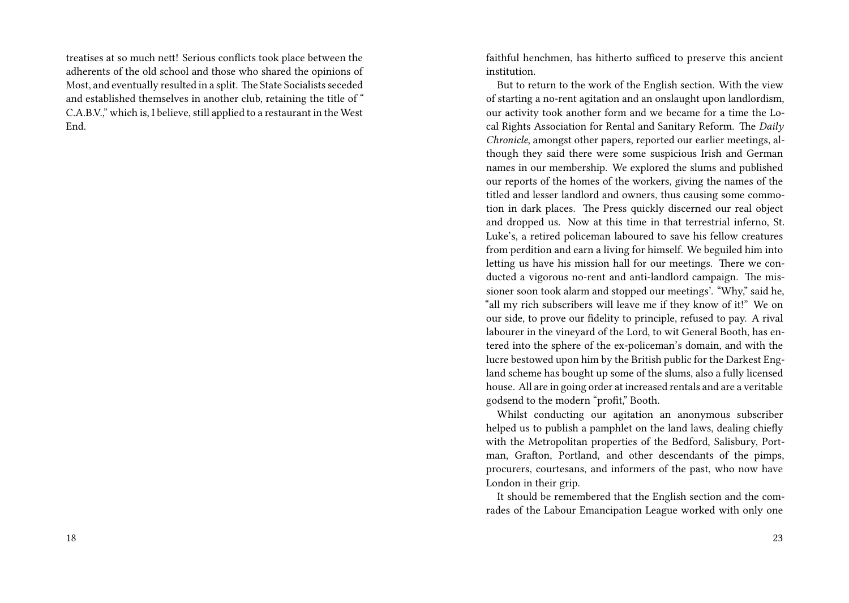treatises at so much nett! Serious conflicts took place between the adherents of the old school and those who shared the opinions of Most, and eventually resulted in a split. The State Socialists seceded and established themselves in another club, retaining the title of " C.A.B.V.," which is, I believe, still applied to a restaurant in the West End.

faithful henchmen, has hitherto sufficed to preserve this ancient institution.

But to return to the work of the English section. With the view of starting a no-rent agitation and an onslaught upon landlordism, our activity took another form and we became for a time the Local Rights Association for Rental and Sanitary Reform. The *Daily Chronicle*, amongst other papers, reported our earlier meetings, although they said there were some suspicious Irish and German names in our membership. We explored the slums and published our reports of the homes of the workers, giving the names of the titled and lesser landlord and owners, thus causing some commotion in dark places. The Press quickly discerned our real object and dropped us. Now at this time in that terrestrial inferno, St. Luke's, a retired policeman laboured to save his fellow creatures from perdition and earn a living for himself. We beguiled him into letting us have his mission hall for our meetings. There we conducted a vigorous no-rent and anti-landlord campaign. The missioner soon took alarm and stopped our meetings'. "Why," said he, "all my rich subscribers will leave me if they know of it!" We on our side, to prove our fidelity to principle, refused to pay. A rival labourer in the vineyard of the Lord, to wit General Booth, has entered into the sphere of the ex-policeman's domain, and with the lucre bestowed upon him by the British public for the Darkest England scheme has bought up some of the slums, also a fully licensed house. All are in going order at increased rentals and are a veritable godsend to the modern "profit," Booth.

Whilst conducting our agitation an anonymous subscriber helped us to publish a pamphlet on the land laws, dealing chiefly with the Metropolitan properties of the Bedford, Salisbury, Portman, Grafton, Portland, and other descendants of the pimps, procurers, courtesans, and informers of the past, who now have London in their grip.

It should be remembered that the English section and the comrades of the Labour Emancipation League worked with only one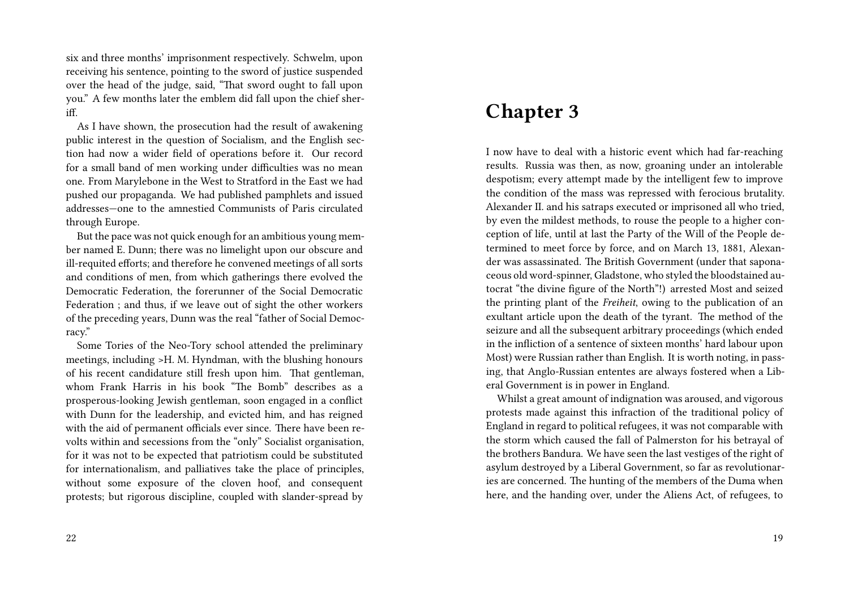six and three months' imprisonment respectively. Schwelm, upon receiving his sentence, pointing to the sword of justice suspended over the head of the judge, said, "That sword ought to fall upon you." A few months later the emblem did fall upon the chief sheriff.

As I have shown, the prosecution had the result of awakening public interest in the question of Socialism, and the English section had now a wider field of operations before it. Our record for a small band of men working under difficulties was no mean one. From Marylebone in the West to Stratford in the East we had pushed our propaganda. We had published pamphlets and issued addresses—one to the amnestied Communists of Paris circulated through Europe.

But the pace was not quick enough for an ambitious young member named E. Dunn; there was no limelight upon our obscure and ill-requited efforts; and therefore he convened meetings of all sorts and conditions of men, from which gatherings there evolved the Democratic Federation, the forerunner of the Social Democratic Federation ; and thus, if we leave out of sight the other workers of the preceding years, Dunn was the real "father of Social Democracy."

Some Tories of the Neo-Tory school attended the preliminary meetings, including >H. M. Hyndman, with the blushing honours of his recent candidature still fresh upon him. That gentleman, whom Frank Harris in his book "The Bomb" describes as a prosperous-looking Jewish gentleman, soon engaged in a conflict with Dunn for the leadership, and evicted him, and has reigned with the aid of permanent officials ever since. There have been revolts within and secessions from the "only" Socialist organisation, for it was not to be expected that patriotism could be substituted for internationalism, and palliatives take the place of principles, without some exposure of the cloven hoof, and consequent protests; but rigorous discipline, coupled with slander-spread by

### **Chapter 3**

I now have to deal with a historic event which had far-reaching results. Russia was then, as now, groaning under an intolerable despotism; every attempt made by the intelligent few to improve the condition of the mass was repressed with ferocious brutality. Alexander II. and his satraps executed or imprisoned all who tried, by even the mildest methods, to rouse the people to a higher conception of life, until at last the Party of the Will of the People determined to meet force by force, and on March 13, 1881, Alexander was assassinated. The British Government (under that saponaceous old word-spinner, Gladstone, who styled the bloodstained autocrat "the divine figure of the North"!) arrested Most and seized the printing plant of the *Freiheit*, owing to the publication of an exultant article upon the death of the tyrant. The method of the seizure and all the subsequent arbitrary proceedings (which ended in the infliction of a sentence of sixteen months' hard labour upon Most) were Russian rather than English. It is worth noting, in passing, that Anglo-Russian ententes are always fostered when a Liberal Government is in power in England.

Whilst a great amount of indignation was aroused, and vigorous protests made against this infraction of the traditional policy of England in regard to political refugees, it was not comparable with the storm which caused the fall of Palmerston for his betrayal of the brothers Bandura. We have seen the last vestiges of the right of asylum destroyed by a Liberal Government, so far as revolutionaries are concerned. The hunting of the members of the Duma when here, and the handing over, under the Aliens Act, of refugees, to